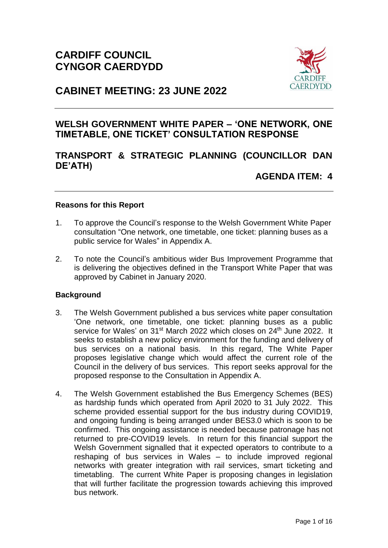

# **CABINET MEETING: 23 JUNE 2022**

## **WELSH GOVERNMENT WHITE PAPER – 'ONE NETWORK, ONE TIMETABLE, ONE TICKET' CONSULTATION RESPONSE**

## **TRANSPORT & STRATEGIC PLANNING (COUNCILLOR DAN DE'ATH)**

**AGENDA ITEM: 4**

## **Reasons for this Report**

- 1. To approve the Council's response to the Welsh Government White Paper consultation "One network, one timetable, one ticket: planning buses as a public service for Wales" in Appendix A.
- 2. To note the Council's ambitious wider Bus Improvement Programme that is delivering the objectives defined in the Transport White Paper that was approved by Cabinet in January 2020.

## **Background**

- 3. The Welsh Government published a bus services white paper consultation 'One network, one timetable, one ticket: planning buses as a public service for Wales' on 31<sup>st</sup> March 2022 which closes on 24<sup>th</sup> June 2022. It seeks to establish a new policy environment for the funding and delivery of bus services on a national basis. In this regard, The White Paper proposes legislative change which would affect the current role of the Council in the delivery of bus services. This report seeks approval for the proposed response to the Consultation in Appendix A.
- 4. The Welsh Government established the Bus Emergency Schemes (BES) as hardship funds which operated from April 2020 to 31 July 2022. This scheme provided essential support for the bus industry during COVID19, and ongoing funding is being arranged under BES3.0 which is soon to be confirmed. This ongoing assistance is needed because patronage has not returned to pre-COVID19 levels. In return for this financial support the Welsh Government signalled that it expected operators to contribute to a reshaping of bus services in Wales – to include improved regional networks with greater integration with rail services, smart ticketing and timetabling. The current White Paper is proposing changes in legislation that will further facilitate the progression towards achieving this improved bus network.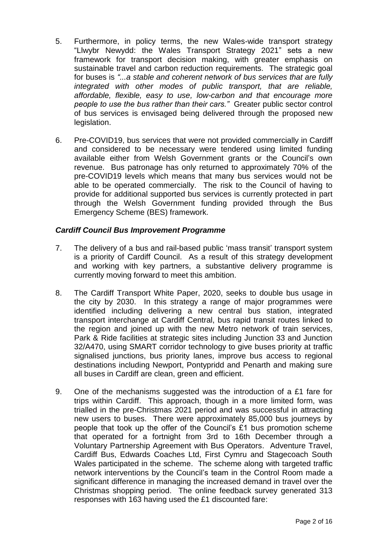- 5. Furthermore, in policy terms, the new Wales-wide transport strategy "Llwybr Newydd: the Wales Transport Strategy 2021" sets a new framework for transport decision making, with greater emphasis on sustainable travel and carbon reduction requirements. The strategic goal for buses is *"...a stable and coherent network of bus services that are fully integrated with other modes of public transport, that are reliable, affordable, flexible, easy to use, low-carbon and that encourage more people to use the bus rather than their cars."* Greater public sector control of bus services is envisaged being delivered through the proposed new legislation.
- 6. Pre-COVID19, bus services that were not provided commercially in Cardiff and considered to be necessary were tendered using limited funding available either from Welsh Government grants or the Council's own revenue. Bus patronage has only returned to approximately 70% of the pre-COVID19 levels which means that many bus services would not be able to be operated commercially. The risk to the Council of having to provide for additional supported bus services is currently protected in part through the Welsh Government funding provided through the Bus Emergency Scheme (BES) framework.

## *Cardiff Council Bus Improvement Programme*

- 7. The delivery of a bus and rail-based public 'mass transit' transport system is a priority of Cardiff Council. As a result of this strategy development and working with key partners, a substantive delivery programme is currently moving forward to meet this ambition.
- 8. The Cardiff Transport White Paper, 2020, seeks to double bus usage in the city by 2030. In this strategy a range of major programmes were identified including delivering a new central bus station, integrated transport interchange at Cardiff Central, bus rapid transit routes linked to the region and joined up with the new Metro network of train services, Park & Ride facilities at strategic sites including Junction 33 and Junction 32/A470, using SMART corridor technology to give buses priority at traffic signalised junctions, bus priority lanes, improve bus access to regional destinations including Newport, Pontypridd and Penarth and making sure all buses in Cardiff are clean, green and efficient.
- 9. One of the mechanisms suggested was the introduction of a £1 fare for trips within Cardiff. This approach, though in a more limited form, was trialled in the pre-Christmas 2021 period and was successful in attracting new users to buses. There were approximately 85,000 bus journeys by people that took up the offer of the Council's £1 bus promotion scheme that operated for a fortnight from 3rd to 16th December through a Voluntary Partnership Agreement with Bus Operators. Adventure Travel, Cardiff Bus, Edwards Coaches Ltd, First Cymru and Stagecoach South Wales participated in the scheme. The scheme along with targeted traffic network interventions by the Council's team in the Control Room made a significant difference in managing the increased demand in travel over the Christmas shopping period. The online feedback survey generated 313 responses with 163 having used the £1 discounted fare: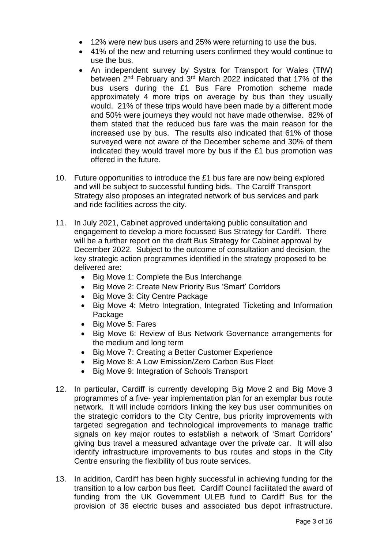- 12% were new bus users and 25% were returning to use the bus.
- 41% of the new and returning users confirmed they would continue to use the bus.
- An independent survey by Systra for Transport for Wales (TfW) between 2<sup>nd</sup> February and 3<sup>rd</sup> March 2022 indicated that 17% of the bus users during the £1 Bus Fare Promotion scheme made approximately 4 more trips on average by bus than they usually would. 21% of these trips would have been made by a different mode and 50% were journeys they would not have made otherwise. 82% of them stated that the reduced bus fare was the main reason for the increased use by bus. The results also indicated that 61% of those surveyed were not aware of the December scheme and 30% of them indicated they would travel more by bus if the £1 bus promotion was offered in the future.
- 10. Future opportunities to introduce the £1 bus fare are now being explored and will be subject to successful funding bids. The Cardiff Transport Strategy also proposes an integrated network of bus services and park and ride facilities across the city.
- 11. In July 2021, Cabinet approved undertaking public consultation and engagement to develop a more focussed Bus Strategy for Cardiff. There will be a further report on the draft Bus Strategy for Cabinet approval by December 2022. Subject to the outcome of consultation and decision, the key strategic action programmes identified in the strategy proposed to be delivered are:
	- Big Move 1: Complete the Bus Interchange
	- Big Move 2: Create New Priority Bus 'Smart' Corridors
	- Big Move 3: City Centre Package
	- Big Move 4: Metro Integration, Integrated Ticketing and Information Package
	- Big Move 5: Fares
	- Big Move 6: Review of Bus Network Governance arrangements for the medium and long term
	- Big Move 7: Creating a Better Customer Experience
	- Big Move 8: A Low Emission/Zero Carbon Bus Fleet
	- Big Move 9: Integration of Schools Transport
- 12. In particular, Cardiff is currently developing Big Move 2 and Big Move 3 programmes of a five- year implementation plan for an exemplar bus route network. It will include corridors linking the key bus user communities on the strategic corridors to the City Centre, bus priority improvements with targeted segregation and technological improvements to manage traffic signals on key major routes to establish a network of 'Smart Corridors' giving bus travel a measured advantage over the private car. It will also identify infrastructure improvements to bus routes and stops in the City Centre ensuring the flexibility of bus route services.
- 13. In addition, Cardiff has been highly successful in achieving funding for the transition to a low carbon bus fleet. Cardiff Council facilitated the award of funding from the UK Government ULEB fund to Cardiff Bus for the provision of 36 electric buses and associated bus depot infrastructure.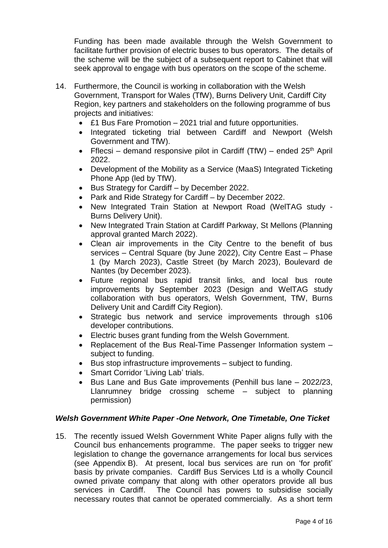Funding has been made available through the Welsh Government to facilitate further provision of electric buses to bus operators. The details of the scheme will be the subject of a subsequent report to Cabinet that will seek approval to engage with bus operators on the scope of the scheme.

- 14. Furthermore, the Council is working in collaboration with the Welsh Government, Transport for Wales (TfW), Burns Delivery Unit, Cardiff City Region, key partners and stakeholders on the following programme of bus projects and initiatives:
	- £1 Bus Fare Promotion 2021 trial and future opportunities.
	- Integrated ticketing trial between Cardiff and Newport (Welsh Government and TfW).
	- Fflecsi demand responsive pilot in Cardiff (TfW) ended  $25<sup>th</sup>$  April 2022.
	- Development of the Mobility as a Service (MaaS) Integrated Ticketing Phone App (led by TfW).
	- Bus Strategy for Cardiff by December 2022.
	- Park and Ride Strategy for Cardiff by December 2022.
	- New Integrated Train Station at Newport Road (WelTAG study Burns Delivery Unit).
	- New Integrated Train Station at Cardiff Parkway, St Mellons (Planning approval granted March 2022).
	- Clean air improvements in the City Centre to the benefit of bus services – Central Square (by June 2022), City Centre East – Phase 1 (by March 2023), Castle Street (by March 2023), Boulevard de Nantes (by December 2023).
	- Future regional bus rapid transit links, and local bus route improvements by September 2023 (Design and WelTAG study collaboration with bus operators, Welsh Government, TfW, Burns Delivery Unit and Cardiff City Region).
	- Strategic bus network and service improvements through s106 developer contributions.
	- Electric buses grant funding from the Welsh Government.
	- Replacement of the Bus Real-Time Passenger Information system subject to funding.
	- Bus stop infrastructure improvements subject to funding.
	- Smart Corridor 'Living Lab' trials.
	- Bus Lane and Bus Gate improvements (Penhill bus lane 2022/23, Llanrumney bridge crossing scheme – subject to planning permission)

## *Welsh Government White Paper -One Network, One Timetable, One Ticket*

15. The recently issued Welsh Government White Paper aligns fully with the Council bus enhancements programme. The paper seeks to trigger new legislation to change the governance arrangements for local bus services (see Appendix B). At present, local bus services are run on 'for profit' basis by private companies. Cardiff Bus Services Ltd is a wholly Council owned private company that along with other operators provide all bus services in Cardiff. The Council has powers to subsidise socially necessary routes that cannot be operated commercially. As a short term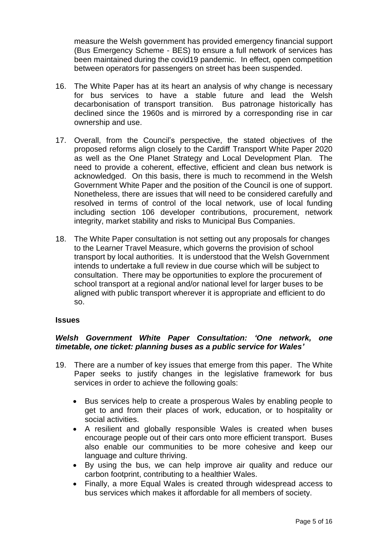measure the Welsh government has provided emergency financial support (Bus Emergency Scheme - BES) to ensure a full network of services has been maintained during the covid19 pandemic. In effect, open competition between operators for passengers on street has been suspended.

- 16. The White Paper has at its heart an analysis of why change is necessary for bus services to have a stable future and lead the Welsh decarbonisation of transport transition. Bus patronage historically has declined since the 1960s and is mirrored by a corresponding rise in car ownership and use.
- 17. Overall, from the Council's perspective, the stated objectives of the proposed reforms align closely to the Cardiff Transport White Paper 2020 as well as the One Planet Strategy and Local Development Plan. The need to provide a coherent, effective, efficient and clean bus network is acknowledged. On this basis, there is much to recommend in the Welsh Government White Paper and the position of the Council is one of support. Nonetheless, there are issues that will need to be considered carefully and resolved in terms of control of the local network, use of local funding including section 106 developer contributions, procurement, network integrity, market stability and risks to Municipal Bus Companies.
- 18. The White Paper consultation is not setting out any proposals for changes to the Learner Travel Measure, which governs the provision of school transport by local authorities. It is understood that the Welsh Government intends to undertake a full review in due course which will be subject to consultation. There may be opportunities to explore the procurement of school transport at a regional and/or national level for larger buses to be aligned with public transport wherever it is appropriate and efficient to do so.

#### **Issues**

## *Welsh Government White Paper Consultation: 'One network, one timetable, one ticket: planning buses as a public service for Wales'*

- 19. There are a number of key issues that emerge from this paper. The White Paper seeks to justify changes in the legislative framework for bus services in order to achieve the following goals:
	- Bus services help to create a prosperous Wales by enabling people to get to and from their places of work, education, or to hospitality or social activities.
	- A resilient and globally responsible Wales is created when buses encourage people out of their cars onto more efficient transport. Buses also enable our communities to be more cohesive and keep our language and culture thriving.
	- By using the bus, we can help improve air quality and reduce our carbon footprint, contributing to a healthier Wales.
	- Finally, a more Equal Wales is created through widespread access to bus services which makes it affordable for all members of society.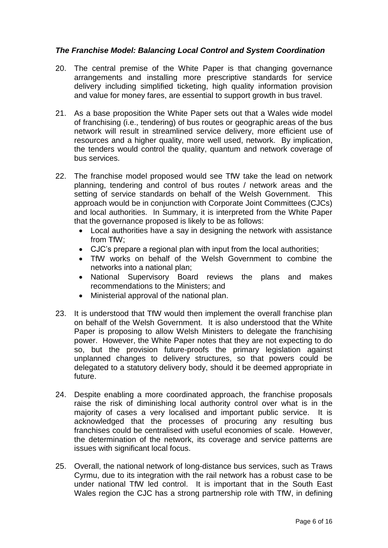## *The Franchise Model: Balancing Local Control and System Coordination*

- 20. The central premise of the White Paper is that changing governance arrangements and installing more prescriptive standards for service delivery including simplified ticketing, high quality information provision and value for money fares, are essential to support growth in bus travel.
- 21. As a base proposition the White Paper sets out that a Wales wide model of franchising (i.e., tendering) of bus routes or geographic areas of the bus network will result in streamlined service delivery, more efficient use of resources and a higher quality, more well used, network. By implication, the tenders would control the quality, quantum and network coverage of bus services.
- 22. The franchise model proposed would see TfW take the lead on network planning, tendering and control of bus routes / network areas and the setting of service standards on behalf of the Welsh Government. This approach would be in conjunction with Corporate Joint Committees (CJCs) and local authorities. In Summary, it is interpreted from the White Paper that the governance proposed is likely to be as follows:
	- Local authorities have a say in designing the network with assistance from TfW;
	- CJC's prepare a regional plan with input from the local authorities;
	- TfW works on behalf of the Welsh Government to combine the networks into a national plan;
	- National Supervisory Board reviews the plans and makes recommendations to the Ministers; and
	- Ministerial approval of the national plan.
- 23. It is understood that TfW would then implement the overall franchise plan on behalf of the Welsh Government. It is also understood that the White Paper is proposing to allow Welsh Ministers to delegate the franchising power. However, the White Paper notes that they are not expecting to do so, but the provision future-proofs the primary legislation against unplanned changes to delivery structures, so that powers could be delegated to a statutory delivery body, should it be deemed appropriate in future.
- 24. Despite enabling a more coordinated approach, the franchise proposals raise the risk of diminishing local authority control over what is in the majority of cases a very localised and important public service. It is acknowledged that the processes of procuring any resulting bus franchises could be centralised with useful economies of scale. However, the determination of the network, its coverage and service patterns are issues with significant local focus.
- 25. Overall, the national network of long-distance bus services, such as Traws Cyrmu, due to its integration with the rail network has a robust case to be under national TfW led control. It is important that in the South East Wales region the CJC has a strong partnership role with TfW, in defining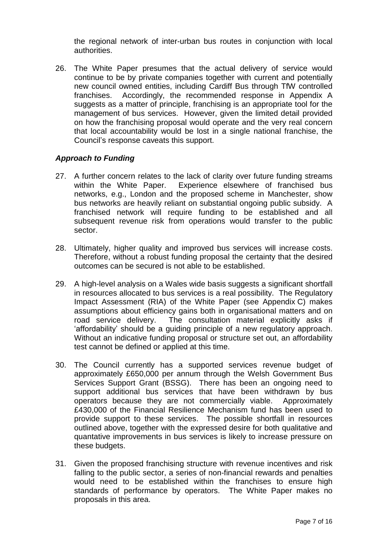the regional network of inter-urban bus routes in conjunction with local authorities.

26. The White Paper presumes that the actual delivery of service would continue to be by private companies together with current and potentially new council owned entities, including Cardiff Bus through TfW controlled franchises. Accordingly, the recommended response in Appendix A suggests as a matter of principle, franchising is an appropriate tool for the management of bus services. However, given the limited detail provided on how the franchising proposal would operate and the very real concern that local accountability would be lost in a single national franchise, the Council's response caveats this support.

## *Approach to Funding*

- 27. A further concern relates to the lack of clarity over future funding streams within the White Paper. Experience elsewhere of franchised bus networks, e.g., London and the proposed scheme in Manchester, show bus networks are heavily reliant on substantial ongoing public subsidy. A franchised network will require funding to be established and all subsequent revenue risk from operations would transfer to the public sector.
- 28. Ultimately, higher quality and improved bus services will increase costs. Therefore, without a robust funding proposal the certainty that the desired outcomes can be secured is not able to be established.
- 29. A high-level analysis on a Wales wide basis suggests a significant shortfall in resources allocated to bus services is a real possibility. The Regulatory Impact Assessment (RIA) of the White Paper (see Appendix C) makes assumptions about efficiency gains both in organisational matters and on road service delivery. The consultation material explicitly asks if 'affordability' should be a guiding principle of a new regulatory approach. Without an indicative funding proposal or structure set out, an affordability test cannot be defined or applied at this time.
- 30. The Council currently has a supported services revenue budget of approximately £650,000 per annum through the Welsh Government Bus Services Support Grant (BSSG). There has been an ongoing need to support additional bus services that have been withdrawn by bus operators because they are not commercially viable. Approximately £430,000 of the Financial Resilience Mechanism fund has been used to provide support to these services. The possible shortfall in resources outlined above, together with the expressed desire for both qualitative and quantative improvements in bus services is likely to increase pressure on these budgets.
- 31. Given the proposed franchising structure with revenue incentives and risk falling to the public sector, a series of non-financial rewards and penalties would need to be established within the franchises to ensure high standards of performance by operators. The White Paper makes no proposals in this area.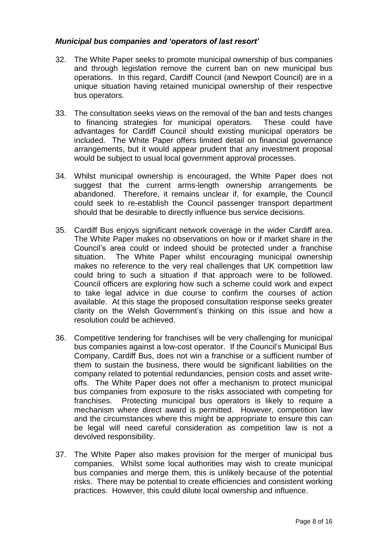## *Municipal bus companies and 'operators of last resort'*

- 32. The White Paper seeks to promote municipal ownership of bus companies and through legislation remove the current ban on new municipal bus operations. In this regard, Cardiff Council (and Newport Council) are in a unique situation having retained municipal ownership of their respective bus operators.
- 33. The consultation seeks views on the removal of the ban and tests changes to financing strategies for municipal operators. These could have advantages for Cardiff Council should existing municipal operators be included. The White Paper offers limited detail on financial governance arrangements, but it would appear prudent that any investment proposal would be subject to usual local government approval processes.
- 34. Whilst municipal ownership is encouraged, the White Paper does not suggest that the current arms-length ownership arrangements be abandoned. Therefore, it remains unclear if, for example, the Council could seek to re-establish the Council passenger transport department should that be desirable to directly influence bus service decisions.
- 35. Cardiff Bus enjoys significant network coverage in the wider Cardiff area. The White Paper makes no observations on how or if market share in the Council's area could or indeed should be protected under a franchise situation. The White Paper whilst encouraging municipal ownership makes no reference to the very real challenges that UK competition law could bring to such a situation if that approach were to be followed. Council officers are exploring how such a scheme could work and expect to take legal advice in due course to confirm the courses of action available. At this stage the proposed consultation response seeks greater clarity on the Welsh Government's thinking on this issue and how a resolution could be achieved.
- 36. Competitive tendering for franchises will be very challenging for municipal bus companies against a low-cost operator. If the Council's Municipal Bus Company, Cardiff Bus, does not win a franchise or a sufficient number of them to sustain the business, there would be significant liabilities on the company related to potential redundancies, pension costs and asset writeoffs. The White Paper does not offer a mechanism to protect municipal bus companies from exposure to the risks associated with competing for franchises. Protecting municipal bus operators is likely to require a mechanism where direct award is permitted. However, competition law and the circumstances where this might be appropriate to ensure this can be legal will need careful consideration as competition law is not a devolved responsibility.
- 37. The White Paper also makes provision for the merger of municipal bus companies. Whilst some local authorities may wish to create municipal bus companies and merge them, this is unlikely because of the potential risks. There may be potential to create efficiencies and consistent working practices. However, this could dilute local ownership and influence.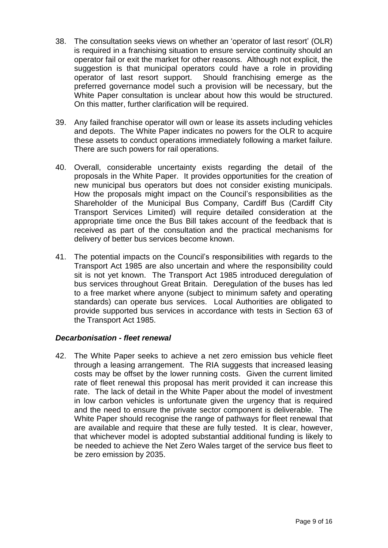- 38. The consultation seeks views on whether an 'operator of last resort' (OLR) is required in a franchising situation to ensure service continuity should an operator fail or exit the market for other reasons. Although not explicit, the suggestion is that municipal operators could have a role in providing operator of last resort support. Should franchising emerge as the preferred governance model such a provision will be necessary, but the White Paper consultation is unclear about how this would be structured. On this matter, further clarification will be required.
- 39. Any failed franchise operator will own or lease its assets including vehicles and depots. The White Paper indicates no powers for the OLR to acquire these assets to conduct operations immediately following a market failure. There are such powers for rail operations.
- 40. Overall, considerable uncertainty exists regarding the detail of the proposals in the White Paper. It provides opportunities for the creation of new municipal bus operators but does not consider existing municipals. How the proposals might impact on the Council's responsibilities as the Shareholder of the Municipal Bus Company, Cardiff Bus (Cardiff City Transport Services Limited) will require detailed consideration at the appropriate time once the Bus Bill takes account of the feedback that is received as part of the consultation and the practical mechanisms for delivery of better bus services become known.
- 41. The potential impacts on the Council's responsibilities with regards to the Transport Act 1985 are also uncertain and where the responsibility could sit is not yet known. The Transport Act 1985 introduced deregulation of bus services throughout Great Britain. Deregulation of the buses has led to a free market where anyone (subject to minimum safety and operating standards) can operate bus services. Local Authorities are obligated to provide supported bus services in accordance with tests in Section 63 of the Transport Act 1985.

## *Decarbonisation - fleet renewal*

42. The White Paper seeks to achieve a net zero emission bus vehicle fleet through a leasing arrangement. The RIA suggests that increased leasing costs may be offset by the lower running costs. Given the current limited rate of fleet renewal this proposal has merit provided it can increase this rate. The lack of detail in the White Paper about the model of investment in low carbon vehicles is unfortunate given the urgency that is required and the need to ensure the private sector component is deliverable. The White Paper should recognise the range of pathways for fleet renewal that are available and require that these are fully tested. It is clear, however, that whichever model is adopted substantial additional funding is likely to be needed to achieve the Net Zero Wales target of the service bus fleet to be zero emission by 2035.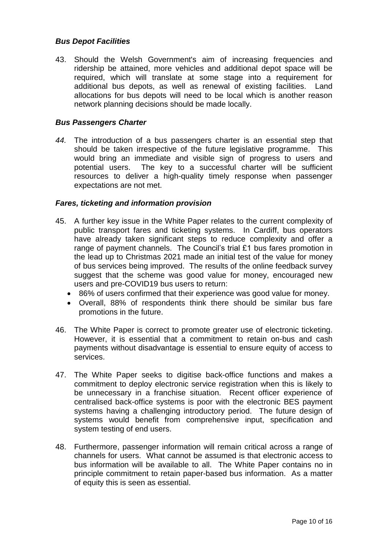## *Bus Depot Facilities*

43. Should the Welsh Government's aim of increasing frequencies and ridership be attained, more vehicles and additional depot space will be required, which will translate at some stage into a requirement for additional bus depots, as well as renewal of existing facilities. Land allocations for bus depots will need to be local which is another reason network planning decisions should be made locally.

## *Bus Passengers Charter*

*44.* The introduction of a bus passengers charter is an essential step that should be taken irrespective of the future legislative programme. This would bring an immediate and visible sign of progress to users and potential users. The key to a successful charter will be sufficient resources to deliver a high-quality timely response when passenger expectations are not met.

## *Fares, ticketing and information provision*

- 45. A further key issue in the White Paper relates to the current complexity of public transport fares and ticketing systems. In Cardiff, bus operators have already taken significant steps to reduce complexity and offer a range of payment channels. The Council's trial £1 bus fares promotion in the lead up to Christmas 2021 made an initial test of the value for money of bus services being improved. The results of the online feedback survey suggest that the scheme was good value for money, encouraged new users and pre-COVID19 bus users to return:
	- 86% of users confirmed that their experience was good value for money.
	- Overall, 88% of respondents think there should be similar bus fare promotions in the future.
- 46. The White Paper is correct to promote greater use of electronic ticketing. However, it is essential that a commitment to retain on-bus and cash payments without disadvantage is essential to ensure equity of access to services.
- 47. The White Paper seeks to digitise back-office functions and makes a commitment to deploy electronic service registration when this is likely to be unnecessary in a franchise situation. Recent officer experience of centralised back-office systems is poor with the electronic BES payment systems having a challenging introductory period. The future design of systems would benefit from comprehensive input, specification and system testing of end users.
- 48. Furthermore, passenger information will remain critical across a range of channels for users. What cannot be assumed is that electronic access to bus information will be available to all. The White Paper contains no in principle commitment to retain paper-based bus information. As a matter of equity this is seen as essential.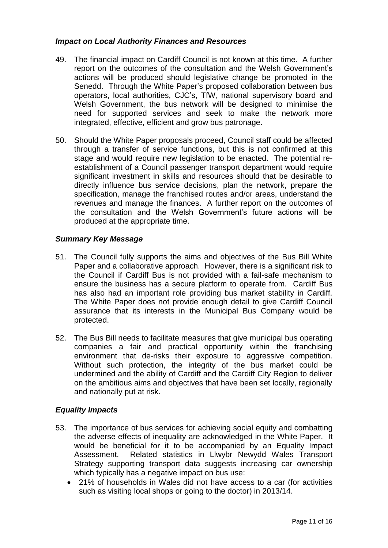## *Impact on Local Authority Finances and Resources*

- 49. The financial impact on Cardiff Council is not known at this time. A further report on the outcomes of the consultation and the Welsh Government's actions will be produced should legislative change be promoted in the Senedd. Through the White Paper's proposed collaboration between bus operators, local authorities, CJC's, TfW, national supervisory board and Welsh Government, the bus network will be designed to minimise the need for supported services and seek to make the network more integrated, effective, efficient and grow bus patronage.
- 50. Should the White Paper proposals proceed, Council staff could be affected through a transfer of service functions, but this is not confirmed at this stage and would require new legislation to be enacted. The potential reestablishment of a Council passenger transport department would require significant investment in skills and resources should that be desirable to directly influence bus service decisions, plan the network, prepare the specification, manage the franchised routes and/or areas, understand the revenues and manage the finances. A further report on the outcomes of the consultation and the Welsh Government's future actions will be produced at the appropriate time.

## *Summary Key Message*

- 51. The Council fully supports the aims and objectives of the Bus Bill White Paper and a collaborative approach. However, there is a significant risk to the Council if Cardiff Bus is not provided with a fail-safe mechanism to ensure the business has a secure platform to operate from. Cardiff Bus has also had an important role providing bus market stability in Cardiff. The White Paper does not provide enough detail to give Cardiff Council assurance that its interests in the Municipal Bus Company would be protected.
- 52. The Bus Bill needs to facilitate measures that give municipal bus operating companies a fair and practical opportunity within the franchising environment that de-risks their exposure to aggressive competition. Without such protection, the integrity of the bus market could be undermined and the ability of Cardiff and the Cardiff City Region to deliver on the ambitious aims and objectives that have been set locally, regionally and nationally put at risk.

## *Equality Impacts*

- 53. The importance of bus services for achieving social equity and combatting the adverse effects of inequality are acknowledged in the White Paper. It would be beneficial for it to be accompanied by an Equality Impact Assessment. Related statistics in Llwybr Newydd Wales Transport Strategy supporting transport data suggests increasing car ownership which typically has a negative impact on bus use:
	- 21% of households in Wales did not have access to a car (for activities such as visiting local shops or going to the doctor) in 2013/14.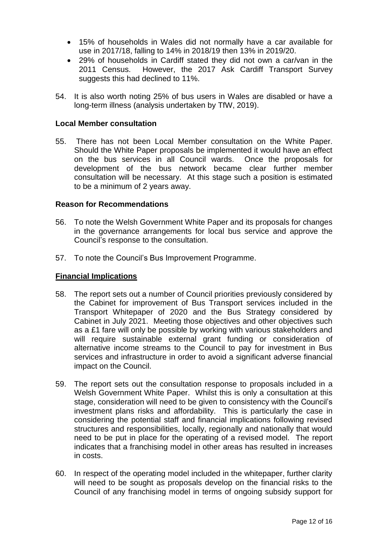- 15% of households in Wales did not normally have a car available for use in 2017/18, falling to 14% in 2018/19 then 13% in 2019/20.
- 29% of households in Cardiff stated they did not own a car/van in the 2011 Census. However, the 2017 Ask Cardiff Transport Survey suggests this had declined to 11%.
- 54. It is also worth noting 25% of bus users in Wales are disabled or have a long-term illness (analysis undertaken by TfW, 2019).

## **Local Member consultation**

55. There has not been Local Member consultation on the White Paper. Should the White Paper proposals be implemented it would have an effect on the bus services in all Council wards. Once the proposals for development of the bus network became clear further member consultation will be necessary. At this stage such a position is estimated to be a minimum of 2 years away.

## **Reason for Recommendations**

- 56. To note the Welsh Government White Paper and its proposals for changes in the governance arrangements for local bus service and approve the Council's response to the consultation.
- 57. To note the Council's Bus Improvement Programme.

## **Financial Implications**

- 58. The report sets out a number of Council priorities previously considered by the Cabinet for improvement of Bus Transport services included in the Transport Whitepaper of 2020 and the Bus Strategy considered by Cabinet in July 2021. Meeting those objectives and other objectives such as a £1 fare will only be possible by working with various stakeholders and will require sustainable external grant funding or consideration of alternative income streams to the Council to pay for investment in Bus services and infrastructure in order to avoid a significant adverse financial impact on the Council.
- 59. The report sets out the consultation response to proposals included in a Welsh Government White Paper. Whilst this is only a consultation at this stage, consideration will need to be given to consistency with the Council's investment plans risks and affordability. This is particularly the case in considering the potential staff and financial implications following revised structures and responsibilities, locally, regionally and nationally that would need to be put in place for the operating of a revised model. The report indicates that a franchising model in other areas has resulted in increases in costs.
- 60. In respect of the operating model included in the whitepaper, further clarity will need to be sought as proposals develop on the financial risks to the Council of any franchising model in terms of ongoing subsidy support for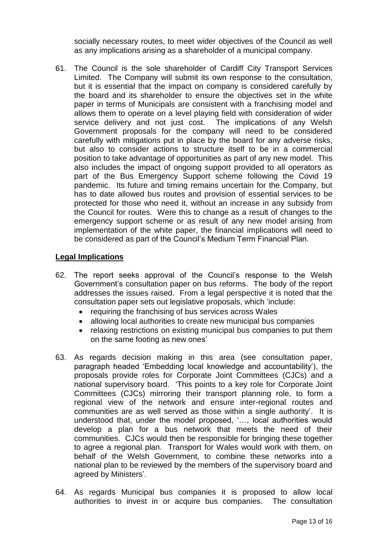socially necessary routes, to meet wider objectives of the Council as well as any implications arising as a shareholder of a municipal company.

61. The Council is the sole shareholder of Cardiff City Transport Services Limited. The Company will submit its own response to the consultation, but it is essential that the impact on company is considered carefully by the board and its shareholder to ensure the objectives set in the white paper in terms of Municipals are consistent with a franchising model and allows them to operate on a level playing field with consideration of wider service delivery and not just cost. The implications of any Welsh Government proposals for the company will need to be considered carefully with mitigations put in place by the board for any adverse risks, but also to consider actions to structure itself to be in a commercial position to take advantage of opportunities as part of any new model. This also includes the impact of ongoing support provided to all operators as part of the Bus Emergency Support scheme following the Covid 19 pandemic. Its future and timing remains uncertain for the Company, but has to date allowed bus routes and provision of essential services to be protected for those who need it, without an increase in any subsidy from the Council for routes. Were this to change as a result of changes to the emergency support scheme or as result of any new model arising from implementation of the white paper, the financial implications will need to be considered as part of the Council's Medium Term Financial Plan.

## **Legal Implications**

- 62. The report seeks approval of the Council's response to the Welsh Government's consultation paper on bus reforms. The body of the report addresses the issues raised. From a legal perspective it is noted that the consultation paper sets out legislative proposals, which 'include:
	- requiring the franchising of bus services across Wales
	- allowing local authorities to create new municipal bus companies
	- relaxing restrictions on existing municipal bus companies to put them on the same footing as new ones'
- 63. As regards decision making in this area (see consultation paper, paragraph headed 'Embedding local knowledge and accountability'), the proposals provide roles for Corporate Joint Committees (CJCs) and a national supervisory board. 'This points to a key role for Corporate Joint Committees (CJCs) mirroring their transport planning role, to form a regional view of the network and ensure inter-regional routes and communities are as well served as those within a single authority'. It is understood that, under the model proposed, '…, local authorities would develop a plan for a bus network that meets the need of their communities. CJCs would then be responsible for bringing these together to agree a regional plan. Transport for Wales would work with them, on behalf of the Welsh Government, to combine these networks into a national plan to be reviewed by the members of the supervisory board and agreed by Ministers'.
- 64. As regards Municipal bus companies it is proposed to allow local authorities to invest in or acquire bus companies. The consultation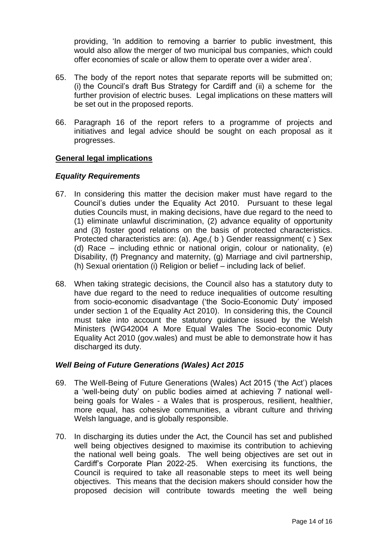providing, 'In addition to removing a barrier to public investment, this would also allow the merger of two municipal bus companies, which could offer economies of scale or allow them to operate over a wider area'.

- 65. The body of the report notes that separate reports will be submitted on; (i) the Council's draft Bus Strategy for Cardiff and (ii) a scheme for the further provision of electric buses. Legal implications on these matters will be set out in the proposed reports.
- 66. Paragraph 16 of the report refers to a programme of projects and initiatives and legal advice should be sought on each proposal as it progresses.

## **General legal implications**

#### *Equality Requirements*

- 67. In considering this matter the decision maker must have regard to the Council's duties under the Equality Act 2010. Pursuant to these legal duties Councils must, in making decisions, have due regard to the need to (1) eliminate unlawful discrimination, (2) advance equality of opportunity and (3) foster good relations on the basis of protected characteristics. Protected characteristics are: (a), Age.(b) Gender reassignment(c) Sex (d) Race – including ethnic or national origin, colour or nationality, (e) Disability, (f) Pregnancy and maternity, (g) Marriage and civil partnership, (h) Sexual orientation (i) Religion or belief – including lack of belief.
- 68. When taking strategic decisions, the Council also has a statutory duty to have due regard to the need to reduce inequalities of outcome resulting from socio-economic disadvantage ('the Socio-Economic Duty' imposed under section 1 of the Equality Act 2010). In considering this, the Council must take into account the statutory guidance issued by the Welsh Ministers (WG42004 A More Equal Wales The Socio-economic Duty Equality Act 2010 (gov.wales) and must be able to demonstrate how it has discharged its duty.

## *Well Being of Future Generations (Wales) Act 2015*

- 69. The Well-Being of Future Generations (Wales) Act 2015 ('the Act') places a 'well-being duty' on public bodies aimed at achieving 7 national wellbeing goals for Wales - a Wales that is prosperous, resilient, healthier, more equal, has cohesive communities, a vibrant culture and thriving Welsh language, and is globally responsible.
- 70. In discharging its duties under the Act, the Council has set and published well being objectives designed to maximise its contribution to achieving the national well being goals. The well being objectives are set out in Cardiff's Corporate Plan 2022-25. When exercising its functions, the Council is required to take all reasonable steps to meet its well being objectives. This means that the decision makers should consider how the proposed decision will contribute towards meeting the well being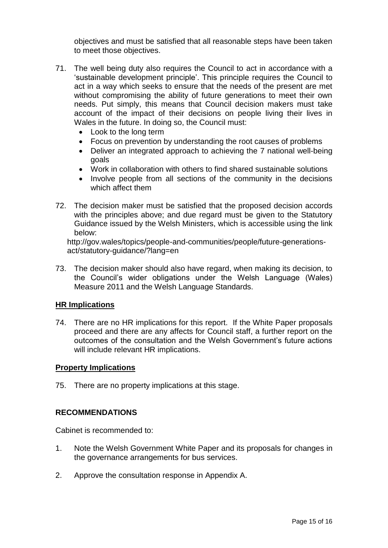objectives and must be satisfied that all reasonable steps have been taken to meet those objectives.

- 71. The well being duty also requires the Council to act in accordance with a 'sustainable development principle'. This principle requires the Council to act in a way which seeks to ensure that the needs of the present are met without compromising the ability of future generations to meet their own needs. Put simply, this means that Council decision makers must take account of the impact of their decisions on people living their lives in Wales in the future. In doing so, the Council must:
	- Look to the long term
	- Focus on prevention by understanding the root causes of problems
	- Deliver an integrated approach to achieving the 7 national well-being goals
	- Work in collaboration with others to find shared sustainable solutions
	- Involve people from all sections of the community in the decisions which affect them
- 72. The decision maker must be satisfied that the proposed decision accords with the principles above; and due regard must be given to the Statutory Guidance issued by the Welsh Ministers, which is accessible using the link below:

http://gov.wales/topics/people-and-communities/people/future-generationsact/statutory-guidance/?lang=en

73. The decision maker should also have regard, when making its decision, to the Council's wider obligations under the Welsh Language (Wales) Measure 2011 and the Welsh Language Standards.

## **HR Implications**

74. There are no HR implications for this report. If the White Paper proposals proceed and there are any affects for Council staff, a further report on the outcomes of the consultation and the Welsh Government's future actions will include relevant HR implications.

## **Property Implications**

75. There are no property implications at this stage.

## **RECOMMENDATIONS**

Cabinet is recommended to:

- 1. Note the Welsh Government White Paper and its proposals for changes in the governance arrangements for bus services.
- 2. Approve the consultation response in Appendix A.